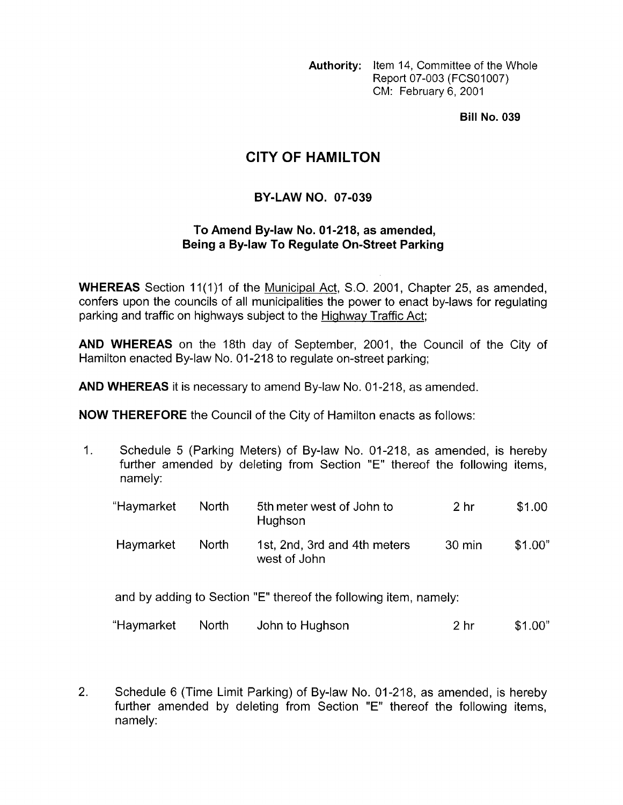**Authority:** Item 14, Committee of the Whole Report 07-003 (FCS01007) CM: February 6, 2001

**Bill No. 039** 

## **CITY OF HAMILTON**

## **BY-LAW NO. 07-039**

## **To Amend By-law No. 01-218, as amended, Being a By-law To Regulate On-Street Parking**

**WHEREAS** Section 11(1)1 of the Municipal Act, S.O. 2001, Chapter 25, as amended, confers upon the councils of all municipalities the power to enact by-laws for regulating parking and traffic on highways subject to the Highway Traffic Act;

**AND WHEREAS** on the 18th day of September, 2001, the Council of the City of Hamilton enacted By-law No. 01-218 to regulate on-street parking;

**AND WHEREAS** it is necessary to amend By-law No. 01-218, as amended.

**NOW THEREFORE** the Council of the City of Hamilton enacts as follows:

1. Schedule 5 (Parking Meters) of By-law No. 01-218, as amended, is hereby further amended by deleting from Section "E" thereof the following items, namely:

| "Haymarket | <b>North</b> | 5th meter west of John to<br>Hughson                             | 2 <sub>hr</sub> | \$1.00  |
|------------|--------------|------------------------------------------------------------------|-----------------|---------|
| Haymarket  | <b>North</b> | 1st, 2nd, 3rd and 4th meters<br>west of John                     | 30 min          | \$1.00" |
|            |              | and by adding to Section "E" thereof the following item, namely: |                 |         |

"Haymarket North John to Hughson 2 hr \$1 .OO"

2. Schedule 6 (Time Limit Parking) of By-law No. 01-218, as amended, is hereby further amended by deleting from Section "E" thereof the following items, namely: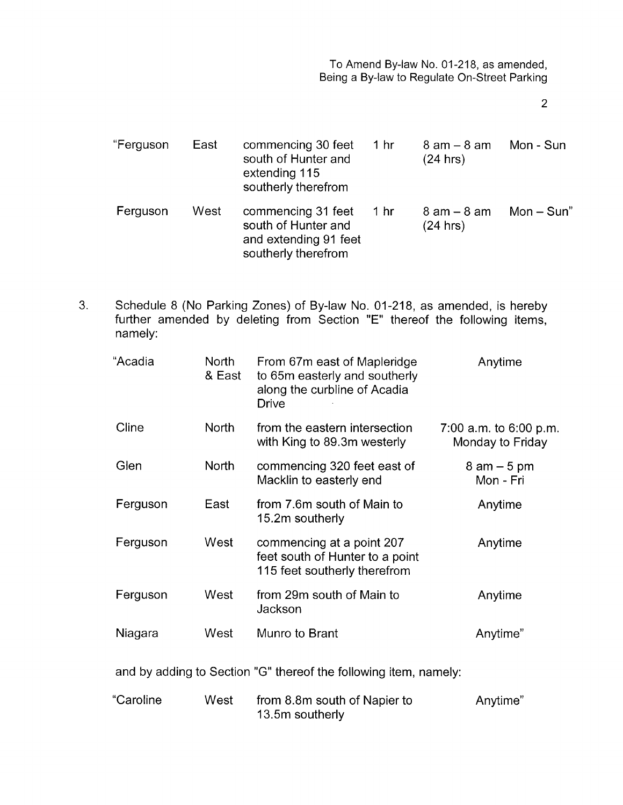2

| "Ferguson | East | commencing 30 feet<br>south of Hunter and<br>extending 115<br>southerly therefrom         | 1 <sub>hr</sub> | $8 \text{ am} - 8 \text{ am}$<br>(24 hrs) | Mon - Sun  |
|-----------|------|-------------------------------------------------------------------------------------------|-----------------|-------------------------------------------|------------|
| Ferguson  | West | commencing 31 feet<br>south of Hunter and<br>and extending 91 feet<br>southerly therefrom | 1 hr            | $8$ am $-$ 8 am<br>(24 hrs)               | $Mon-Sun"$ |

3. Schedule 8 (No Parking Zones) of By-law No. 01-218, as amended, is hereby further amended by deleting from Section "E" thereof the following items, namely:

| "Acadia                                                                                                                                                                                                                                                                                                                            | North<br>& East | From 67m east of Mapleridge<br>to 65m easterly and southerly<br>along the curbline of Acadia<br><b>Drive</b> | Anytime                                      |  |
|------------------------------------------------------------------------------------------------------------------------------------------------------------------------------------------------------------------------------------------------------------------------------------------------------------------------------------|-----------------|--------------------------------------------------------------------------------------------------------------|----------------------------------------------|--|
| Cline                                                                                                                                                                                                                                                                                                                              | <b>North</b>    | from the eastern intersection<br>with King to 89.3m westerly                                                 | 7:00 a.m. to $6:00$ p.m.<br>Monday to Friday |  |
| Glen                                                                                                                                                                                                                                                                                                                               | <b>North</b>    | commencing 320 feet east of<br>Macklin to easterly end                                                       | $8$ am $-5$ pm<br>Mon - Fri                  |  |
| Ferguson                                                                                                                                                                                                                                                                                                                           | East            | from 7.6m south of Main to<br>15.2m southerly                                                                | Anytime                                      |  |
| Ferguson                                                                                                                                                                                                                                                                                                                           | West            | commencing at a point 207<br>feet south of Hunter to a point<br>115 feet southerly therefrom                 | Anytime                                      |  |
| Ferguson                                                                                                                                                                                                                                                                                                                           | West            | from 29m south of Main to<br>Jackson                                                                         | Anytime                                      |  |
| Niagara                                                                                                                                                                                                                                                                                                                            | West            | Munro to Brant                                                                                               | Anytime"                                     |  |
| and by adding to Section "G" thereof the following item, namely:                                                                                                                                                                                                                                                                   |                 |                                                                                                              |                                              |  |
| $\mathbf{0}$ $\mathbf{0}$ $\mathbf{0}$ $\mathbf{0}$ $\mathbf{0}$ $\mathbf{0}$ $\mathbf{0}$ $\mathbf{0}$ $\mathbf{0}$ $\mathbf{0}$ $\mathbf{0}$ $\mathbf{0}$ $\mathbf{0}$ $\mathbf{0}$ $\mathbf{0}$ $\mathbf{0}$ $\mathbf{0}$ $\mathbf{0}$ $\mathbf{0}$ $\mathbf{0}$ $\mathbf{0}$ $\mathbf{0}$ $\mathbf{0}$ $\mathbf{0}$ $\mathbf{$ |                 |                                                                                                              | $A = 11.221$                                 |  |

| "Caroline | West | from 8.8m south of Napier to | Anytime" |
|-----------|------|------------------------------|----------|
|           |      | 13.5m southerly              |          |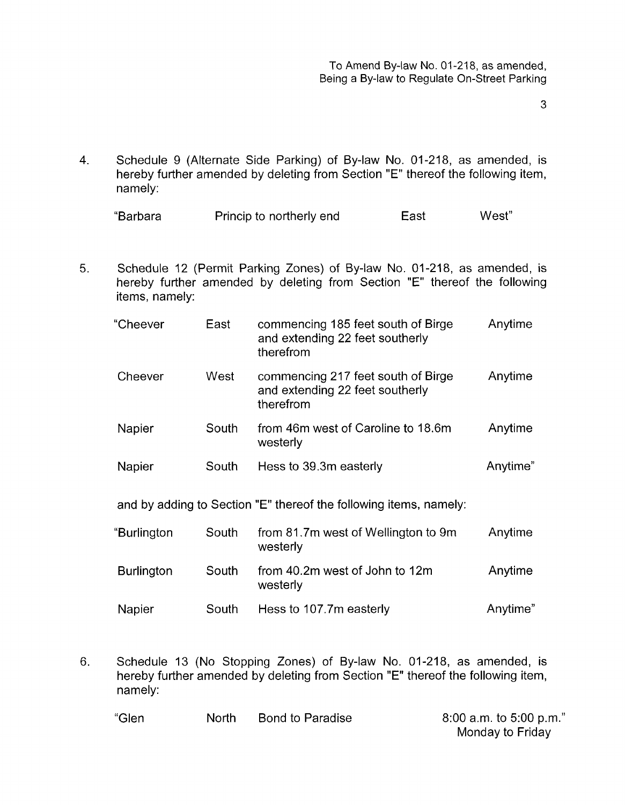**3** 

4. Schedule 9 (Alternate Side Parking) of By-law No. 01-218, as amended, is hereby further amended by deleting from Section "E" thereof the following item, namely:

| "Barbara | Princip to northerly end | East | West" |
|----------|--------------------------|------|-------|
|----------|--------------------------|------|-------|

5. Schedule 12 (Permit Parking Zones) of By-law No. 01-218, as amended, is hereby further amended by deleting from Section "E" thereof the following items, namely:

| "Cheever    | East  | commencing 185 feet south of Birge<br>and extending 22 feet southerly<br>therefrom | Anytime  |
|-------------|-------|------------------------------------------------------------------------------------|----------|
| Cheever     | West  | commencing 217 feet south of Birge<br>and extending 22 feet southerly<br>therefrom | Anytime  |
| Napier      | South | from 46m west of Caroline to 18.6m<br>westerly                                     | Anytime  |
| Napier      | South | Hess to 39.3m easterly                                                             | Anytime" |
|             |       | and by adding to Section "E" thereof the following items, namely:                  |          |
| "Burlington | South | from 81.7m west of Wellington to 9m                                                | Anytime  |

| Duniyon           | ovuu  | <b>INVILLED LETTE WEST OF WEIGHTOR OF SHE</b><br>westerly | <b>AUTOBIA</b> |
|-------------------|-------|-----------------------------------------------------------|----------------|
| <b>Burlington</b> | South | from 40.2m west of John to 12m<br>westerly                | Anytime        |
| Napier            | South | Hess to 107.7m easterly                                   | Anytime"       |

6. Schedule 13 (No Stopping Zones) of By-law No. 01-218, as amended, is hereby further amended by deleting from Section "E" thereof the following item, namely:

"Glen North Bond to Paradise 8:00 a.m. to 5:00 p.m."

Monday to Friday